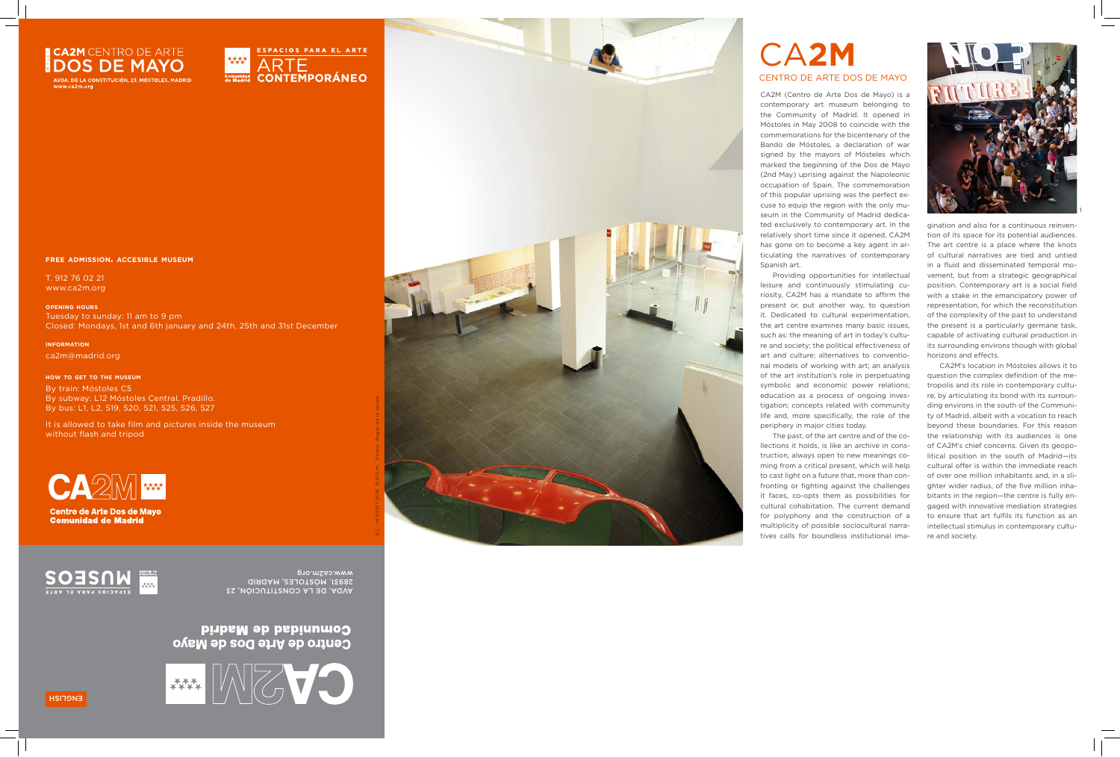

**ESPACIOS PARA EL ARTE** \*\*\* **ARTE Comunidad** CONTEMPORÁNEO

### **free admission. accesible museum**

T. 912 76 02 21 www.ca2m.org

**opening hours** Tuesday to sunday: 11 am to 9 pm Closed: Mondays, 1st and 6th january and 24th, 25th and 31st December

**information**

ca2m@madrid.org

**how to get to the museum**

By train: Móstoles C5 By subway: L12 Móstoles Central. Pradillo. By bus: L1, L2, 519, 520, 521, 525, 526, 527

It is allowed to take film and pictures inside the museum without flash and tripod



**Centro de Arte Dos de Mayo Comunidad de Madrid** 

CA2M (Centro de Arte Dos de Mayo) is a contemporary art museum belonging to the Community of Madrid. It opened in Móstoles in May 2008 to coincide with the commemorations for the bicentenary of the Bando de Móstoles, a declaration of war signed by the mayors of Mósteles which marked the beginning of the Dos de Mayo (2nd May) uprising against the Napoleonic occupation of Spain. The commemoration of this popular uprising was the perfect ex cuse to equip the region with the only mu seum in the Community of Madrid dedica ted exclusively to contemporary art. In the relatively short time since it opened, CA2M has gone on to become a key agent in articulating the narratives of contemporary Spanish art.

Providing opportunities for intellectual leisure and continuously stimulating cu riosity, CA2M has a mandate to affirm the present or, put another way, to question it. Dedicated to cultural experimentation, the art centre examines many basic issues, such as: the meaning of art in today's cultu re and society; the political effectiveness of art and culture; alternatives to conventio nal models of working with art; an analysis of the art institution's role in perpetuating symbolic and economic power relations; education as a process of ongoing inves tigation; concepts related with community life and, more specifically, the role of the periphery in major cities today. The past, of the art centre and of the co -

llections it holds, is like an archive in cons truction, always open to new meanings co ming from a critical present, which will help to cast light on a future that, more than confronting or fighting against the challenges it faces, co-opts them as possibilities for cultural cohabitation. The current demand for polyphony and the construction of a multiplicity of possible sociocultural narra tives calls for boundless institutional ima -

# CA**2M**

## CENTRO DE ARTE DOS DE MAYO

D.L.: M-35101-2016 B.O.C.M. Photo: Ángel de la Rubia



gination and also for a continuous reinven tion of its space for its potential audiences. The art centre is a place where the knots of cultural narratives are tied and untied in a fluid and disseminated temporal mo vement, but from a strategic geographical position. Contemporary art is a social field with a stake in the emancipatory power of representation, for which the reconstitution of the complexity of the past to understand the present is a particularly germane task, capable of activating cultural production in its surrounding environs though with global horizons and effects.

CA2M's location in Móstoles allows it to question the complex definition of the me tropolis and its role in contemporary cultu re, by articulating its bond with its surroun ding environs in the south of the Communi ty of Madrid, albeit with a vocation to reach beyond these boundaries. For this reason the relationship with its audiences is one of CA2M's chief concerns. Given its geopo litical position in the south of Madrid—its cultural offer is within the immediate reach of over one million inhabitants and, in a sli ghter wider radius, of the five million inha bitants in the region—the centre is fully en gaged with innovative mediation strategies to ensure that art fulfils its function as an intellectual stimulus in contemporary cultu re and society.